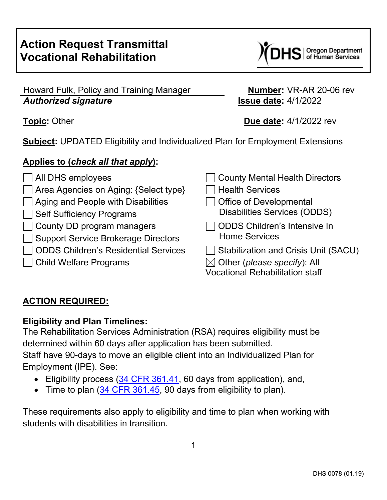

## Howard Fulk, Policy and Training Manager **Number:** VR-AR 20-06 rev *Authorized signature* **Issue date:** 4/1/2022

**Topic:** Other **Due date:** 4/1/2022 rev

**Subject:** UPDATED Eligibility and Individualized Plan for Employment Extensions

# **Applies to (***check all that apply***):**

All DHS employees and County Mental Health Directors Area Agencies on Aging: {Select type} Health Services  $\Box$  Aging and People with Disabilities  $\Box$  Office of Developmental Self Sufficiency Programs Disabilities Services (ODDS) County DD program managers Support Service Brokerage Directors ODDS Children's Intensive In Home Services ODDS Children's Residential Services  $\Box$  Stabilization and Crisis Unit (SACU) Child Welfare Programs  $\boxtimes$  Other (*please specify*): All Vocational Rehabilitation staff

# **ACTION REQUIRED:**

# **Eligibility and Plan Timelines:**

The Rehabilitation Services Administration (RSA) requires eligibility must be determined within 60 days after application has been submitted. Staff have 90-days to move an eligible client into an Individualized Plan for Employment (IPE). See:

- Eligibility process [\(34 CFR 361.41,](https://www.ecfr.gov/cgi-bin/text-idx?SID=5298087b6a8d13b826e14e1eb5ca56ea&mc=true&node=pt34.2.361&rgn=div5#se34.2.361_141) 60 days from application), and,
- Time to plan [\(34 CFR 361.45,](https://www.ecfr.gov/cgi-bin/text-idx?SID=5298087b6a8d13b826e14e1eb5ca56ea&mc=true&node=pt34.2.361&rgn=div5#se34.2.361_145) 90 days from eligibility to plan).

These requirements also apply to eligibility and time to plan when working with students with disabilities in transition.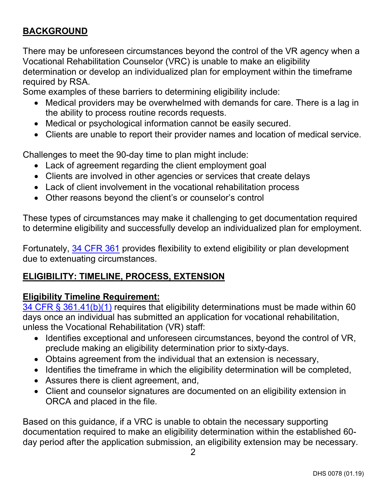# **BACKGROUND**

There may be unforeseen circumstances beyond the control of the VR agency when a Vocational Rehabilitation Counselor (VRC) is unable to make an eligibility determination or develop an individualized plan for employment within the timeframe required by RSA.

Some examples of these barriers to determining eligibility include:

- Medical providers may be overwhelmed with demands for care. There is a lag in the ability to process routine records requests.
- Medical or psychological information cannot be easily secured.
- Clients are unable to report their provider names and location of medical service.

Challenges to meet the 90-day time to plan might include:

- Lack of agreement regarding the client employment goal
- Clients are involved in other agencies or services that create delays
- Lack of client involvement in the vocational rehabilitation process
- Other reasons beyond the client's or counselor's control

These types of circumstances may make it challenging to get documentation required to determine eligibility and successfully develop an individualized plan for employment.

Fortunately, 34 [CFR 361](https://www.ecfr.gov/current/title-34/subtitle-B/chapter-III/part-361?toc=1) provides flexibility to extend eligibility or plan development due to extenuating circumstances.

#### **ELIGIBILITY: TIMELINE, PROCESS, EXTENSION**

#### **Eligibility Timeline Requirement:**

[34 CFR § 361.41\(b\)\(1\)](https://www.ecfr.gov/current/title-34/subtitle-B/chapter-III/part-361#p-361.41(b)(1)) requires that eligibility determinations must be made within 60 days once an individual has submitted an application for vocational rehabilitation, unless the Vocational Rehabilitation (VR) staff:

- Identifies exceptional and unforeseen circumstances, beyond the control of VR, preclude making an eligibility determination prior to sixty-days.
- Obtains agreement from the individual that an extension is necessary,
- Identifies the timeframe in which the eligibility determination will be completed,
- Assures there is client agreement, and,
- Client and counselor signatures are documented on an eligibility extension in ORCA and placed in the file.

Based on this guidance, if a VRC is unable to obtain the necessary supporting documentation required to make an eligibility determination within the established 60 day period after the application submission, an eligibility extension may be necessary.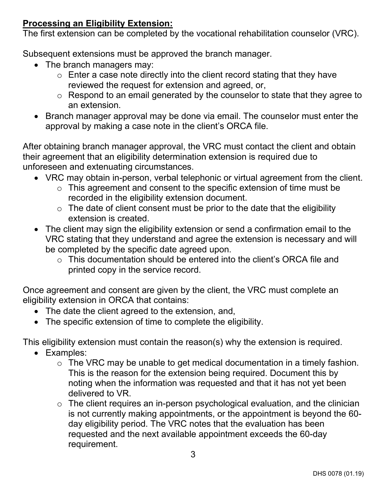### **Processing an Eligibility Extension:**

The first extension can be completed by the vocational rehabilitation counselor (VRC).

Subsequent extensions must be approved the branch manager.

- The branch managers may:
	- $\circ$  Enter a case note directly into the client record stating that they have reviewed the request for extension and agreed, or,
	- o Respond to an email generated by the counselor to state that they agree to an extension.
- Branch manager approval may be done via email. The counselor must enter the approval by making a case note in the client's ORCA file.

After obtaining branch manager approval, the VRC must contact the client and obtain their agreement that an eligibility determination extension is required due to unforeseen and extenuating circumstances.

- VRC may obtain in-person, verbal telephonic or virtual agreement from the client.
	- $\circ$  This agreement and consent to the specific extension of time must be recorded in the eligibility extension document.
	- $\circ$  The date of client consent must be prior to the date that the eligibility extension is created.
- The client may sign the eligibility extension or send a confirmation email to the VRC stating that they understand and agree the extension is necessary and will be completed by the specific date agreed upon.
	- o This documentation should be entered into the client's ORCA file and printed copy in the service record.

Once agreement and consent are given by the client, the VRC must complete an eligibility extension in ORCA that contains:

- The date the client agreed to the extension, and,
- The specific extension of time to complete the eligibility.

This eligibility extension must contain the reason(s) why the extension is required.

- Examples:
	- o The VRC may be unable to get medical documentation in a timely fashion. This is the reason for the extension being required. Document this by noting when the information was requested and that it has not yet been delivered to VR.
	- $\circ$  The client requires an in-person psychological evaluation, and the clinician is not currently making appointments, or the appointment is beyond the 60 day eligibility period. The VRC notes that the evaluation has been requested and the next available appointment exceeds the 60-day requirement.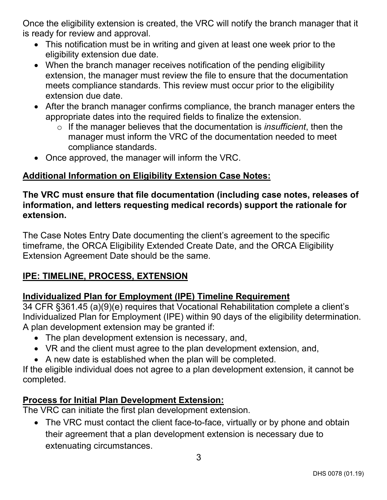Once the eligibility extension is created, the VRC will notify the branch manager that it is ready for review and approval.

- This notification must be in writing and given at least one week prior to the eligibility extension due date.
- When the branch manager receives notification of the pending eligibility extension, the manager must review the file to ensure that the documentation meets compliance standards. This review must occur prior to the eligibility extension due date.
- After the branch manager confirms compliance, the branch manager enters the appropriate dates into the required fields to finalize the extension.
	- o If the manager believes that the documentation is *insufficient*, then the manager must inform the VRC of the documentation needed to meet compliance standards.
- Once approved, the manager will inform the VRC.

# **Additional Information on Eligibility Extension Case Notes:**

#### **The VRC must ensure that file documentation (including case notes, releases of information, and letters requesting medical records) support the rationale for extension.**

The Case Notes Entry Date documenting the client's agreement to the specific timeframe, the ORCA Eligibility Extended Create Date, and the ORCA Eligibility Extension Agreement Date should be the same.

# **IPE: TIMELINE, PROCESS, EXTENSION**

# **Individualized Plan for Employment (IPE) Timeline Requirement**

34 CFR §361.45 (a)(9)(e) requires that Vocational Rehabilitation complete a client's Individualized Plan for Employment (IPE) within 90 days of the eligibility determination. A plan development extension may be granted if:

- The plan development extension is necessary, and,
- VR and the client must agree to the plan development extension, and,
- A new date is established when the plan will be completed.

If the eligible individual does not agree to a plan development extension, it cannot be completed.

# <span id="page-3-0"></span>**Process for Initial Plan Development Extension:**

The VRC can initiate the first plan development extension.

• The VRC must contact the client face-to-face, virtually or by phone and obtain their agreement that a plan development extension is necessary due to extenuating circumstances.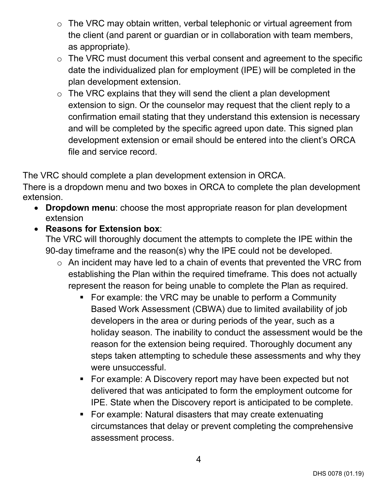- o The VRC may obtain written, verbal telephonic or virtual agreement from the client (and parent or guardian or in collaboration with team members, as appropriate).
- $\circ$  The VRC must document this verbal consent and agreement to the specific date the individualized plan for employment (IPE) will be completed in the plan development extension.
- $\circ$  The VRC explains that they will send the client a plan development extension to sign. Or the counselor may request that the client reply to a confirmation email stating that they understand this extension is necessary and will be completed by the specific agreed upon date. This signed plan development extension or email should be entered into the client's ORCA file and service record.

The VRC should complete a plan development extension in ORCA.

There is a dropdown menu and two boxes in ORCA to complete the plan development extension.

- **Dropdown menu**: choose the most appropriate reason for plan development extension
- **Reasons for Extension box**:

The VRC will thoroughly document the attempts to complete the IPE within the 90-day timeframe and the reason(s) why the IPE could not be developed.

- o An incident may have led to a chain of events that prevented the VRC from establishing the Plan within the required timeframe. This does not actually represent the reason for being unable to complete the Plan as required.
	- For example: the VRC may be unable to perform a Community Based Work Assessment (CBWA) due to limited availability of job developers in the area or during periods of the year, such as a holiday season. The inability to conduct the assessment would be the reason for the extension being required. Thoroughly document any steps taken attempting to schedule these assessments and why they were unsuccessful.
	- For example: A Discovery report may have been expected but not delivered that was anticipated to form the employment outcome for IPE. State when the Discovery report is anticipated to be complete.
	- For example: Natural disasters that may create extenuating circumstances that delay or prevent completing the comprehensive assessment process.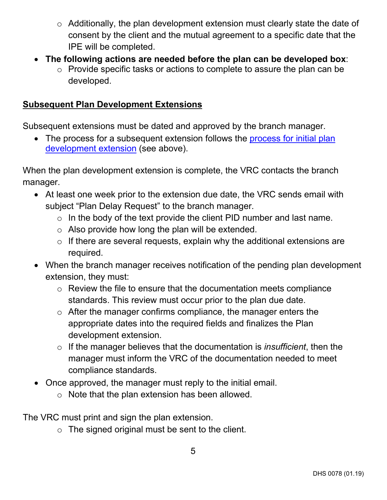- o Additionally, the plan development extension must clearly state the date of consent by the client and the mutual agreement to a specific date that the IPE will be completed.
- **The following actions are needed before the plan can be developed box**:
	- o Provide specific tasks or actions to complete to assure the plan can be developed.

# **Subsequent Plan Development Extensions**

Subsequent extensions must be dated and approved by the branch manager.

• The process for a subsequent extension follows the process for initial plan [development extension](#page-3-0) (see above).

When the plan development extension is complete, the VRC contacts the branch manager.

- At least one week prior to the extension due date, the VRC sends email with subject "Plan Delay Request" to the branch manager.
	- $\circ$  In the body of the text provide the client PID number and last name.
	- $\circ$  Also provide how long the plan will be extended.
	- $\circ$  If there are several requests, explain why the additional extensions are required.
- When the branch manager receives notification of the pending plan development extension, they must:
	- o Review the file to ensure that the documentation meets compliance standards. This review must occur prior to the plan due date.
	- $\circ$  After the manager confirms compliance, the manager enters the appropriate dates into the required fields and finalizes the Plan development extension.
	- o If the manager believes that the documentation is *insufficient*, then the manager must inform the VRC of the documentation needed to meet compliance standards.
- Once approved, the manager must reply to the initial email.
	- o Note that the plan extension has been allowed.

The VRC must print and sign the plan extension.

 $\circ$  The signed original must be sent to the client.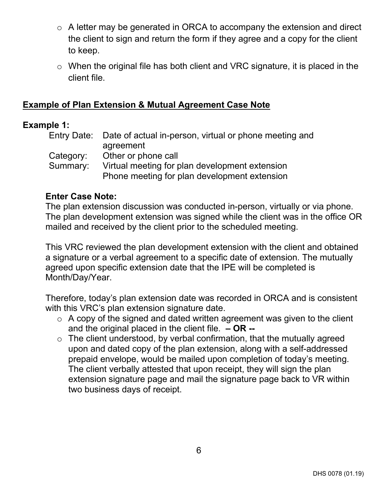- $\circ$  A letter may be generated in ORCA to accompany the extension and direct the client to sign and return the form if they agree and a copy for the client to keep.
- o When the original file has both client and VRC signature, it is placed in the client file.

### **Example of Plan Extension & Mutual Agreement Case Note**

#### **Example 1:**

|           | Entry Date: Date of actual in-person, virtual or phone meeting and |  |
|-----------|--------------------------------------------------------------------|--|
|           | agreement                                                          |  |
| Category: | Other or phone call                                                |  |
| Summary:  | Virtual meeting for plan development extension                     |  |
|           | Phone meeting for plan development extension                       |  |

### **Enter Case Note:**

The plan extension discussion was conducted in-person, virtually or via phone. The plan development extension was signed while the client was in the office OR mailed and received by the client prior to the scheduled meeting.

This VRC reviewed the plan development extension with the client and obtained a signature or a verbal agreement to a specific date of extension. The mutually agreed upon specific extension date that the IPE will be completed is Month/Day/Year.

Therefore, today's plan extension date was recorded in ORCA and is consistent with this VRC's plan extension signature date.

- $\circ$  A copy of the signed and dated written agreement was given to the client and the original placed in the client file. **– OR --**
- $\circ$  The client understood, by verbal confirmation, that the mutually agreed upon and dated copy of the plan extension, along with a self-addressed prepaid envelope, would be mailed upon completion of today's meeting. The client verbally attested that upon receipt, they will sign the plan extension signature page and mail the signature page back to VR within two business days of receipt.